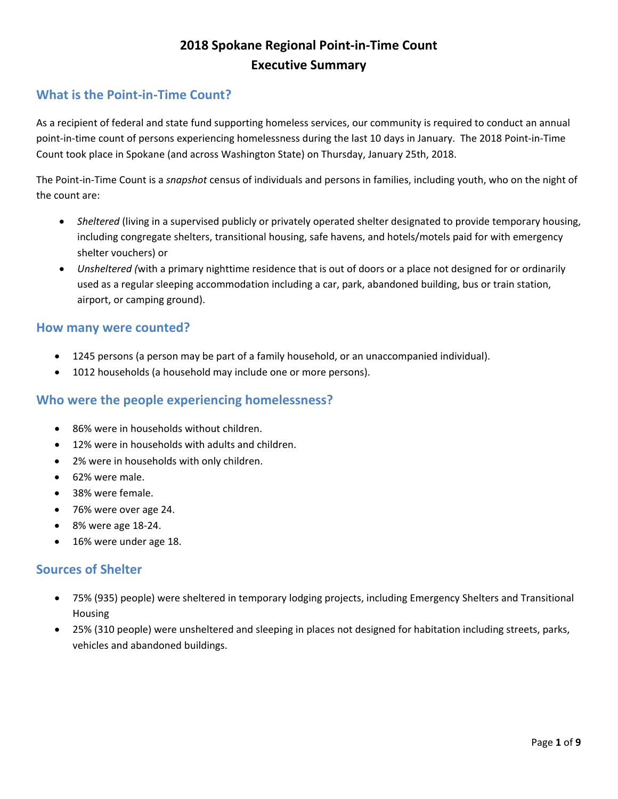# **2018 Spokane Regional Point-in-Time Count Executive Summary**

### **What is the Point-in-Time Count?**

As a recipient of federal and state fund supporting homeless services, our community is required to conduct an annual point-in-time count of persons experiencing homelessness during the last 10 days in January. The 2018 Point-in-Time Count took place in Spokane (and across Washington State) on Thursday, January 25th, 2018.

The Point-in-Time Count is a *snapshot* census of individuals and persons in families, including youth, who on the night of the count are:

- *Sheltered* (living in a supervised publicly or privately operated shelter designated to provide temporary housing, including congregate shelters, transitional housing, safe havens, and hotels/motels paid for with emergency shelter vouchers) or
- *Unsheltered (*with a primary nighttime residence that is out of doors or a place not designed for or ordinarily used as a regular sleeping accommodation including a car, park, abandoned building, bus or train station, airport, or camping ground).

#### **How many were counted?**

- 1245 persons (a person may be part of a family household, or an unaccompanied individual).
- 1012 households (a household may include one or more persons).

#### **Who were the people experiencing homelessness?**

- 86% were in households without children.
- 12% were in households with adults and children.
- 2% were in households with only children.
- 62% were male.
- 38% were female.
- 76% were over age 24.
- 8% were age 18-24.
- 16% were under age 18.

#### **Sources of Shelter**

- 75% (935) people) were sheltered in temporary lodging projects, including Emergency Shelters and Transitional Housing
- 25% (310 people) were unsheltered and sleeping in places not designed for habitation including streets, parks, vehicles and abandoned buildings.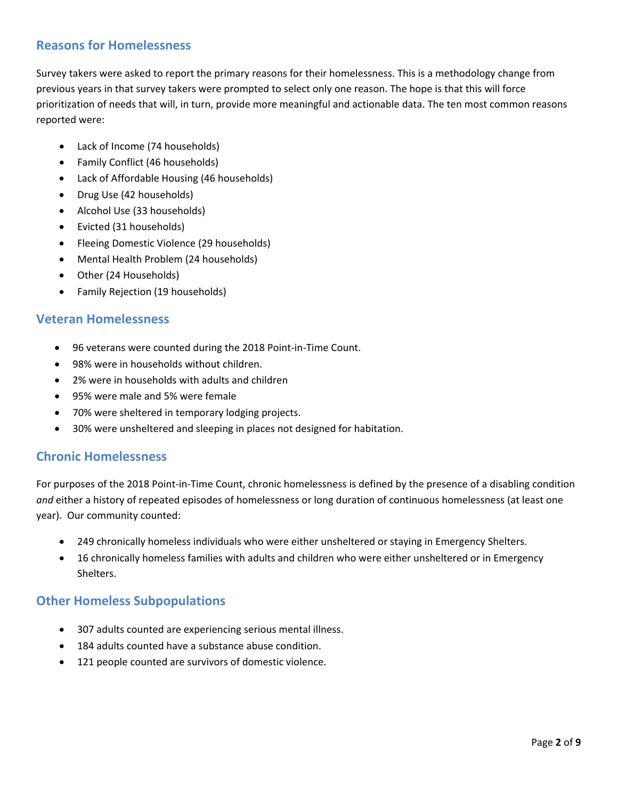### **Reasons for Homelessness**

Survey takers were asked to report the primary reasons for their homelessness. This is a methodology change from previous years in that survey takers were prompted to select only one reason. The hope is that this will force prioritization of needs that will, in turn, provide more meaningful and actionable data. The ten most common reasons reported were:

- Lack of Income (74 households)
- Family Conflict (46 households)
- Lack of Affordable Housing (46 households)
- Drug Use (42 households)
- Alcohol Use (33 households)
- Evicted (31 households)
- Fleeing Domestic Violence (29 households)
- Mental Health Problem (24 households)
- Other (24 Households)
- Family Rejection (19 households)

#### **Veteran Homelessness**

- 96 veterans were counted during the 2018 Point-in-Time Count.
- 98% were in households without children.
- 2% were in households with adults and children
- 95% were male and 5% were female
- 70% were sheltered in temporary lodging projects.
- 30% were unsheltered and sleeping in places not designed for habitation.

#### **Chronic Homelessness**

For purposes of the 2018 Point-in-Time Count, chronic homelessness is defined by the presence of a disabling condition *and* either a history of repeated episodes of homelessness or long duration of continuous homelessness (at least one year). Our community counted:

- 249 chronically homeless individuals who were either unsheltered or staying in Emergency Shelters.
- 16 chronically homeless families with adults and children who were either unsheltered or in Emergency Shelters.

#### **Other Homeless Subpopulations**

- 307 adults counted are experiencing serious mental illness.
- 184 adults counted have a substance abuse condition.
- 121 people counted are survivors of domestic violence.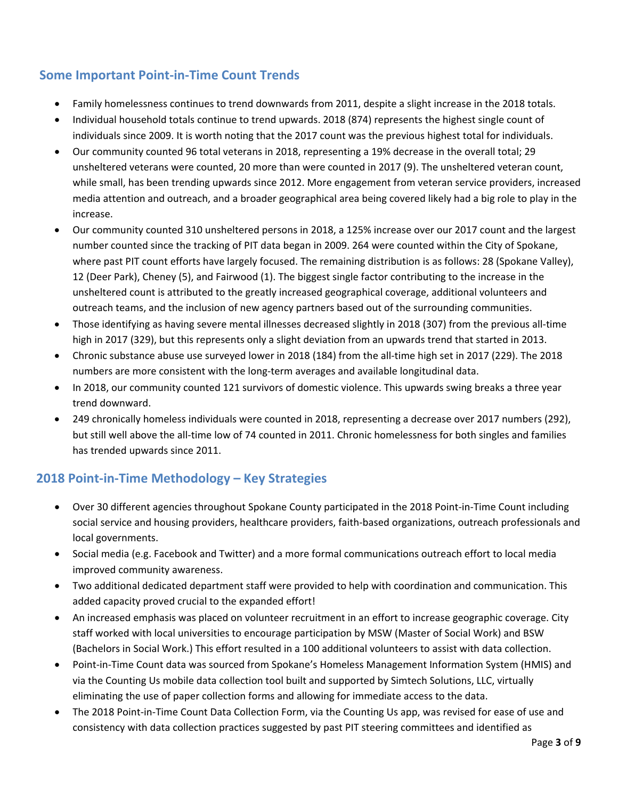### **Some Important Point-in-Time Count Trends**

- Family homelessness continues to trend downwards from 2011, despite a slight increase in the 2018 totals.
- Individual household totals continue to trend upwards. 2018 (874) represents the highest single count of individuals since 2009. It is worth noting that the 2017 count was the previous highest total for individuals.
- Our community counted 96 total veterans in 2018, representing a 19% decrease in the overall total; 29 unsheltered veterans were counted, 20 more than were counted in 2017 (9). The unsheltered veteran count, while small, has been trending upwards since 2012. More engagement from veteran service providers, increased media attention and outreach, and a broader geographical area being covered likely had a big role to play in the increase.
- Our community counted 310 unsheltered persons in 2018, a 125% increase over our 2017 count and the largest number counted since the tracking of PIT data began in 2009. 264 were counted within the City of Spokane, where past PIT count efforts have largely focused. The remaining distribution is as follows: 28 (Spokane Valley), 12 (Deer Park), Cheney (5), and Fairwood (1). The biggest single factor contributing to the increase in the unsheltered count is attributed to the greatly increased geographical coverage, additional volunteers and outreach teams, and the inclusion of new agency partners based out of the surrounding communities.
- Those identifying as having severe mental illnesses decreased slightly in 2018 (307) from the previous all-time high in 2017 (329), but this represents only a slight deviation from an upwards trend that started in 2013.
- Chronic substance abuse use surveyed lower in 2018 (184) from the all-time high set in 2017 (229). The 2018 numbers are more consistent with the long-term averages and available longitudinal data.
- In 2018, our community counted 121 survivors of domestic violence. This upwards swing breaks a three year trend downward.
- 249 chronically homeless individuals were counted in 2018, representing a decrease over 2017 numbers (292), but still well above the all-time low of 74 counted in 2011. Chronic homelessness for both singles and families has trended upwards since 2011.

## **2018 Point-in-Time Methodology – Key Strategies**

- Over 30 different agencies throughout Spokane County participated in the 2018 Point-in-Time Count including social service and housing providers, healthcare providers, faith-based organizations, outreach professionals and local governments.
- Social media (e.g. Facebook and Twitter) and a more formal communications outreach effort to local media improved community awareness.
- Two additional dedicated department staff were provided to help with coordination and communication. This added capacity proved crucial to the expanded effort!
- An increased emphasis was placed on volunteer recruitment in an effort to increase geographic coverage. City staff worked with local universities to encourage participation by MSW (Master of Social Work) and BSW (Bachelors in Social Work.) This effort resulted in a 100 additional volunteers to assist with data collection.
- Point-in-Time Count data was sourced from Spokane's Homeless Management Information System (HMIS) and via the Counting Us mobile data collection tool built and supported by Simtech Solutions, LLC, virtually eliminating the use of paper collection forms and allowing for immediate access to the data.
- The 2018 Point-in-Time Count Data Collection Form, via the Counting Us app, was revised for ease of use and consistency with data collection practices suggested by past PIT steering committees and identified as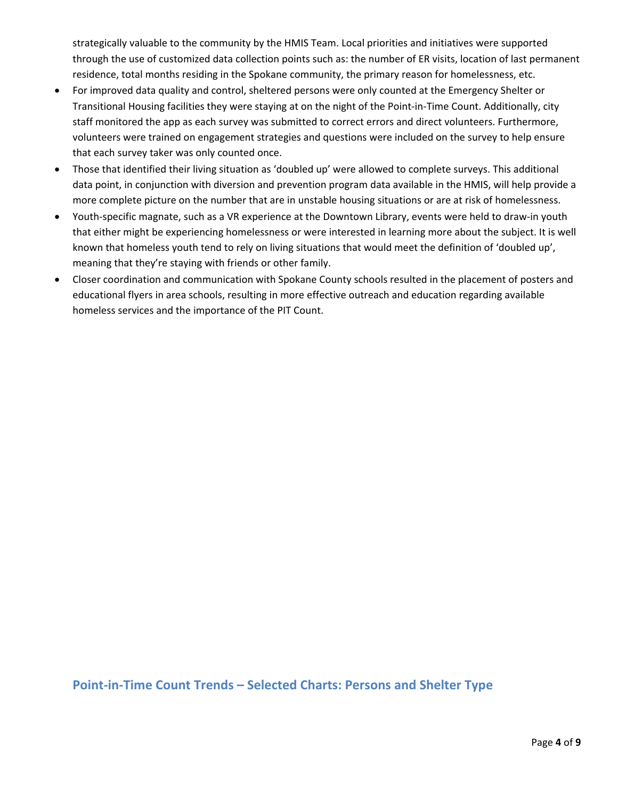strategically valuable to the community by the HMIS Team. Local priorities and initiatives were supported through the use of customized data collection points such as: the number of ER visits, location of last permanent residence, total months residing in the Spokane community, the primary reason for homelessness, etc.

- For improved data quality and control, sheltered persons were only counted at the Emergency Shelter or Transitional Housing facilities they were staying at on the night of the Point-in-Time Count. Additionally, city staff monitored the app as each survey was submitted to correct errors and direct volunteers. Furthermore, volunteers were trained on engagement strategies and questions were included on the survey to help ensure that each survey taker was only counted once.
- Those that identified their living situation as 'doubled up' were allowed to complete surveys. This additional data point, in conjunction with diversion and prevention program data available in the HMIS, will help provide a more complete picture on the number that are in unstable housing situations or are at risk of homelessness.
- Youth-specific magnate, such as a VR experience at the Downtown Library, events were held to draw-in youth that either might be experiencing homelessness or were interested in learning more about the subject. It is well known that homeless youth tend to rely on living situations that would meet the definition of 'doubled up', meaning that they're staying with friends or other family.
- Closer coordination and communication with Spokane County schools resulted in the placement of posters and educational flyers in area schools, resulting in more effective outreach and education regarding available homeless services and the importance of the PIT Count.

**Point-in-Time Count Trends – Selected Charts: Persons and Shelter Type**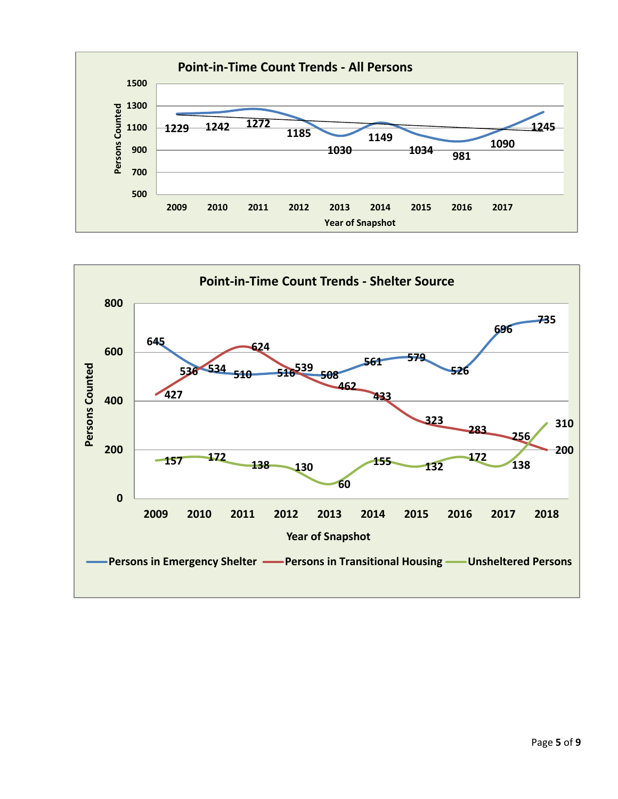

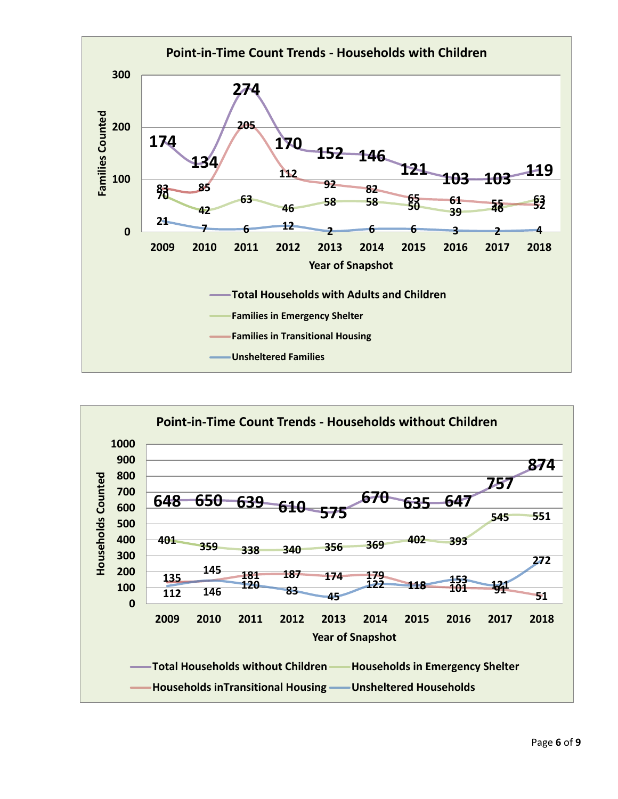

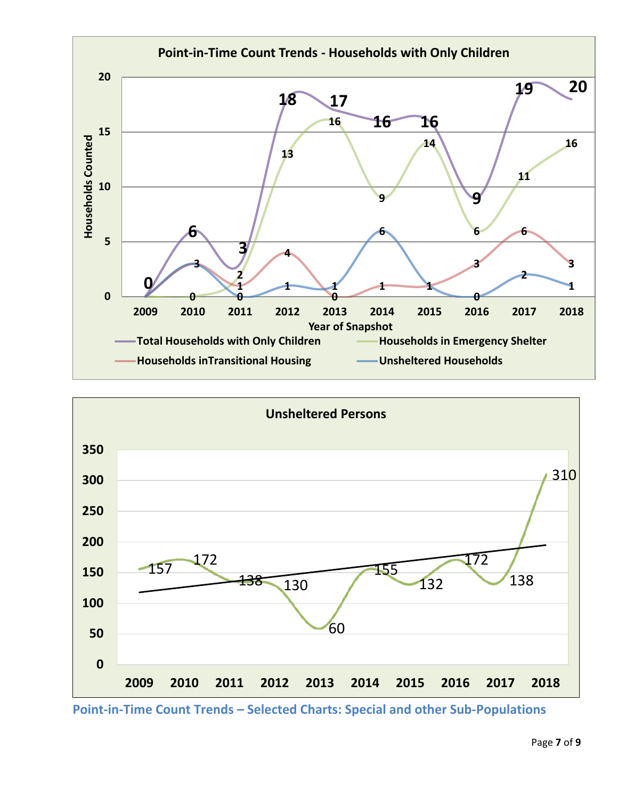



**Point-in-Time Count Trends – Selected Charts: Special and other Sub-Populations**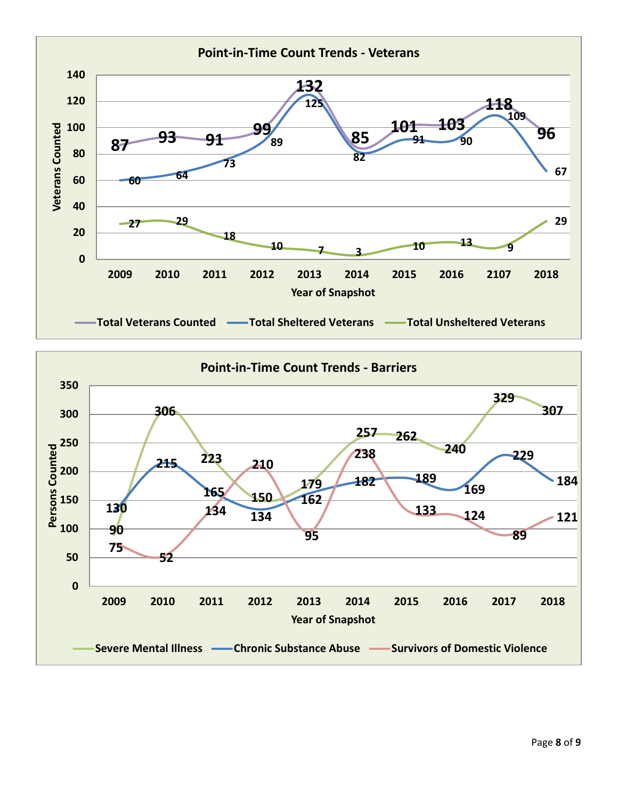